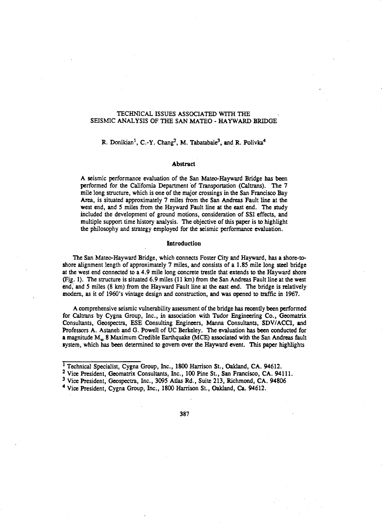## TECHNICAL ISSUES ASSOCIATED WITH THE SEISMIC ANALYSIS OF THE SAN MATEO- HAYWARD BRIDGE

# R. Donikian<sup>1</sup>, C.-Y. Chang<sup>2</sup>, M. Tabatabaie<sup>3</sup>, and R. Polivka<sup>4</sup>

#### Abstract

A seismic performance evaluation of the San Mateo-Hayward Bridge bas been performed for the California Department 'of Transportation (Caltrans). The 7 mile long structure, which is one of the major crossings in the San Francisco Bay Area, is situated approximately 7 miles from the San Andreas Fault line at the west end, and *S* miles from the Hayward Fault line at the east end. The study included the development of ground motions, consideration of SSI effects, and multiple support time history analysis. The objective of this paper is to highlight the philosophy and strategy employed for the seismic performance evaluation.

#### **Introduction**

The San Mateo-Hayward Bridge, which connects Foster City and Hayward, bas a shore-toshore alignment length of approximately 7 miles, and consists of a 1.85 mile long steel bridge at the west end connected to a 4.9 mile long concrete trestle that extends to the Hayward shore (Fig. 1). The structure is situated 6.9 miles (11 km) from the San Andreas Fault line at the west end; and *S* miles (8 km) from the Hayward Fault line at the east end. The bridge is relatively modern, as it of 1960's vintage design and construction, and was opened to traffic in 1967.

A comprehensive seismic vulnerability assessment of the bridge bas recently been performed for Caltrans by Cygna Group, Inc., in association with Tudor Engineering Co., Geomatrix Consultants, Geospectra, ESE Consulting Engineers, Manna Consultants, SDV/ACCI, and Professors A. Astaneh and G. Powell of UC Berkeley. The evaluation bas been conducted for a magnitude  $M_w$  8 Maximum Credible Earthquake (MCE) associated with the San Andreas fault system, which bas been determined to govern over the Hayward event. This paper highlights

<sup>&</sup>lt;sup>1</sup> Technical Specialist, Cygna Group, Inc., 1800 Harrison St., Oakland, CA. 94612.

<sup>2</sup> Vice President, Geomatrix Consultants, Inc., 100 Pine St., San Francisco, CA. 94111.

<sup>3</sup> Vice President, Geospectra, Inc., 3095 Atlas Rd., Suite 213, Richmond, CA. 94806

<sup>4</sup> Vice President, Cygna Group, Inc., 1800 Harrison St., Oakland, Ca. 94612.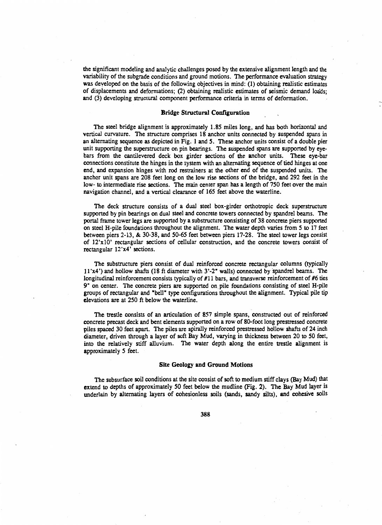the significant modeling and analytic challenges posed by the extensive alignment length and the variability of the subgrade conditions and ground motions. The performance evaluation strategy was developed on the basis of the following objectives in mind: (1) obtaining realistic estimates of displacements and deformations; (2) obtaining realistic estimates of seismic demand loads; and (3) developing structural component performance criteria in terms of deformation.

## Bridge Structural Configuration

The steel bridge alignment is approximately 1.85 miles long, and has both horizontal and vertical curvature. The structure comprises 18 anchor units connected by suspended spans in an alternating sequence as depicted in Fig. 1 and *5.* These anchor units consist of a double pier unit supporting the superstructure on pin bearings. The suspended spans are supported by eyebars from the cantilevered deck box girder sections of the anchor units. These eye-bar connections constitute the hinges in the system with an alternating sequence of tied hinges at one end, and expansion hinges with rod restrainers at the other end of the suspended units. The anchor unit spans are 208 feet long on the low rise sections of the bridge, and 292 feet in the low- to intermediate rise sections. The main center span has a length of 750 feet over the main navigation channel, and a vertical clearance of 165 feet above the waterline.

The deck structure consists of a dual steel box-girder orthotropic deck superstructure supported by pin bearings on dual steel and concrete towers connected by spandrel beams. The portal frame tower legs are supported by a substructure consisting of 38 concrete piers supported on steel H-pile foundations throughout the alignment. The water depth varies from *5* to 17 feet between piers 2-13, & 30-38, and 50-65 feet between piers 17-28. The steel tower legs consist of 12'xl0' rectangular sections of cellular construction, and the concrete towers consist of rectangular 12'x4' sections.

The substructure piers consist of dual reinforced concrete rectangular columns (typically ll'x4') and hollow shafts (18ft diameter with 3'-2" walls) connected by "spandrel beams. The longitudinal reinforcement consists typically of #11 bars, and transverse reinforcement of #6 ties 9" on center. The concrete piers are supported on pile foundations consisting of steel H-pile groups of rectangular and "bell" type configurations throughout the alignment. Typical pile tip elevations are at 250 ft below the waterline.

The trestle consists of an articulation of 857 simple spans, constructed out of reinforced concrete precast deck and bent elements supported on a row of 80-foot long prestressed concrete piles spaced 30 feet apart. The piles are spirally reinforced prestressed hollow shafts of 24 inch diameter, driven through a layer of soft Bay Mud, varying in thickness between 20 to 50 feet, into the relatively stiff alluvium. The water depth along the entire trestle alignment is approximately *5* feet.

#### Site Geology and Ground Motions

The subsurface soil conditions at the site consist of soft to medium stiff clays (Bay Mud) that extend to depths of approximately *50* feet below the mudline (Fig. 2). The Bay Mud layer is underlain by alternating layers of cohesionless soils (sands, sandy silts), and cohesive soils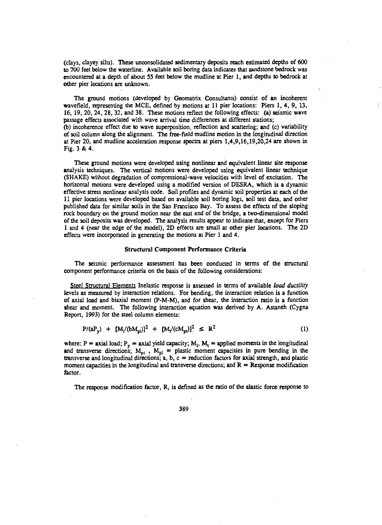(clays, clayey silts). These unconsolidated sedimentary deposits reach estimated depths of 600 to 700 feet below the waterline. Available soil boring data indicates that sandstone bedrock was encountered at a depth of about 55 feet below the mudline at Pier 1, and depths to bedrock at other pier locations are unknown.

The ground motions (developed by Geomatrix Consultants) consist of an incoherent wavefield, representing the MCE, defined by motions at 11 pier locations: Piers 1, 4, 9, 13, 16, 19, 20, 24, 28, 32, arid 38. These motions reflect the following effects: (a) seismic wave passage effects associated with wave arrival time differences at different stations; (b) incoherence effect due to wave superposition, reflection and scattering; and (c) variability

of soil column along the alignment. The free-field mudline motion in the longitudinal direction at Pier 20, and mudline acceleration response spectra at piers 1,4,9,16,19,20,24 are shown in Fig. 3 & 4.

These ground motions were developed using nonlinear and equivalent linear site response analysis techniques. The vertical motions were developed using equivalent linear technique (SHAKE) without degradation of compressional-wave velocities with level of excitation. The horizontal motions were developed using a modified version of DESRA, which is a dynamic effective stress nonlinear analysis code. Soil profiles and dynamic soil properties at each of the 11 pier locations were developed based on available soil boring logs, soil test data, and other published data for similar soils in the San Francisco Bay. To assess the effects of the sloping rock boundary on the ground motion near the east end of the bridge, a two-dimensional model of the soil deposits was developed. The analysis results appear to indicate that, except for Piers 1 and 4 (near the edge of the model), 2D effects are small at other pier locations. The 2D effects were incorporated in generating the motions at Pier 1 and 4.

#### Structural Component Performance Criteria

The seismic performance assessment has been conducted in terms of the structural component performance criteria on the basis of the following considerations:

Steel Structural Elements Inelastic response is assessed in terms of available *load ductility*  levels as measured by interaction relations. For bending, the interaction relation is a function of axial load and biaxial moment (P-M-M), and for shear, the interaction ratio is a function shear and moment. The following interaction equation was derived by A. Astaneh (Cygna Report, 1993) for the steel column elements:

$$
P/(aP_y) + [M_1/(bM_{pl})]^2 + [M_t/(cM_{pl})]^2 \le R^2
$$
 (1)

where: P = axial load;  $P_y$  = axial yield capacity; M<sub>1</sub>, M<sub>t</sub> = applied moments in the longitudinal and transverse directions;  $M_{pt}$ ,  $M_{pl}$  = plastic moment capacities in pure bending in the transverse and longitudinal directions;  $a, b, c$  = reduction factors for axial strength, and plastic moment capacities in the longitudinal and transverse directions; and  $R =$  Response modification factor.

The response modification factor, R, is defined as the ratio of the elastic force response to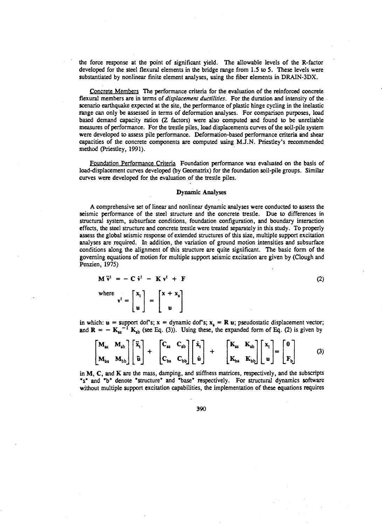the force response at the point of significant yield. The allowable levels of the R-factor developed for the steel flexural elements in the bridge range from 1.5 to *S.* These levels were substantiated by nonlinear finite element analyses, using the fiber elements in DRAIN-3DX.

Concrete Members The performance criteria for the evaluation of the reinforced concrete flexural members are in terms of *displacement ductilities*. For the duration and intensity of the scenario earthquake expected at the site, the performance of plastic hinge cycling in the inelastic range can only be assessed in terms of deformation analyses. For comparison purposes, load based demand capacity ratios (Z factors) were also computed and found to be unreliable measures of performance. For the trestle piles, load displacements curves of the soil-pile system were developed to assess pile performance. Deformation-based performance criteria and shear capacities of the concrete components are computed using M.J.N. Priestley's recommended method (Priestley, 1991).

Foundation Performance Criteria Foundation performance was evaluated on the basis of load-displacement curves developed (by Geomatrix) for the foundation soil-pile groups. Similar curves were developed for the evaluation of the trestle piles.

#### Dynamic Analyses

A comprehensive set of linear and nonlinear dynamic analyses were conducted to assess the seismic performance of the steel structure and the concrete trestle. Due to differences in structural system, subsurface conditions, foundation configuration, and boundary interaction effects, the steel structure and concrete trestle were treated separately in this study. To properly assess the global seismic response of extended structures of this size, multiple support excitation analyses are required. In addition, the variation of ground motion intensities and subsurface conditions along the alignment of this structure are quite significant. The basic form of the governing equations of motion for multiple support seismic excitation are given by (Clough and Penzien, 1975)

$$
\mathbf{M}\,\ddot{\mathbf{v}}^{\mathrm{t}}\ =\ -\ \mathbf{C}\,\dot{\mathbf{v}}^{\mathrm{t}}\ -\ \mathbf{K}\,\mathbf{v}^{\mathrm{t}}\ +\ \mathbf{F}
$$

where  $v^t = \begin{bmatrix} x_t \\ u \end{bmatrix} = \begin{bmatrix} x + x_s \\ u \end{bmatrix}$ 

in which:  $u =$  support dof's;  $x =$  dynamic dof's;  $x<sub>s</sub> = R u$ ; pseudostatic displacement vector; and  $R = -K_{ss}^{-1} K_{sb}$  (see Eq. (3)). Using these, the expanded form of Eq. (2) is given by

$$
\begin{bmatrix}\n\mathbf{M}_{\rm ss} & \mathbf{M}_{\rm sb} \\
\mathbf{M}_{\rm bs} & \mathbf{M}_{\rm bb}\n\end{bmatrix}\n\begin{bmatrix}\n\ddot{\mathbf{x}}_{\rm t} \\
\ddot{\mathbf{u}}\n\end{bmatrix} + \n\begin{bmatrix}\n\mathbf{C}_{\rm ss} & \mathbf{C}_{\rm sb} \\
\mathbf{C}_{\rm bs} & \mathbf{C}_{\rm bb}\n\end{bmatrix}\n\begin{bmatrix}\n\dot{\mathbf{x}}_{\rm t} \\
\dot{\mathbf{u}}\n\end{bmatrix} + \n\begin{bmatrix}\n\mathbf{K}_{\rm ss} & \mathbf{K}_{\rm sb} \\
\mathbf{K}_{\rm bs} & \mathbf{K}_{\rm bb}\n\end{bmatrix}\n\begin{bmatrix}\n\mathbf{x}_{\rm t} \\
\mathbf{u}\n\end{bmatrix} =\n\begin{bmatrix}\n0 \\
\mathbf{F}_{\rm b}\n\end{bmatrix}
$$
\n(3)

(2)

in M, C, and K are the mass, damping, and stiffness matrices, respectively, and the subscripts "s" and "b" denote "structure" and "base" respectively. For structural dynamics software without multiple support excitation capabilities, the implementation of these equations requires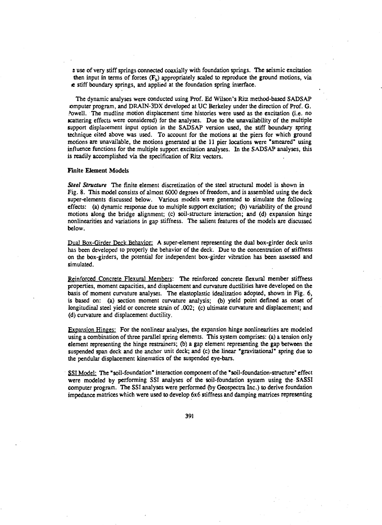e use ofvery stiff springs connected coaxially with foundation springs. The seismic excitation then input in terms of forces  $(F_b)$  appropriately scaled to reproduce the ground motions, via .e stiff boundary springs, and applied at the foundation spring interface.

The dynamic analyses were conducted using Prof. Ed Wilson's Ritz method-based SADSAP :omputer program, and DRAIN-3DX developed at UC Berkeley under the direction of Prof. G. ?owell. The mudline motion displacement time histories were used as the excitation (i.e. no scattering effects were considered) for the analyses. Due to the unavailability of the multiple support displacement input option in the SADSAP version used, the stiff boundary spring technique cited above was used. To account for the motions at the piers for which ground motions are unavailable, the motions generated at the 11 pier locations were "smeared" using influence functions for the multiple support excitation analyses. In the SADSAP analyses, this is readily accomplished via the specification of Ritz vectors.

### Finite Element Models

Steel Structure The finite element discretization of the steel structural model is shown in Fig. 8. This model consists of almost 6000 degrees of freedom, and is assembled using the deck super-elements discussed below. Various models were generated to simulate the following effects: (a) dynamic response due to multiple support excitation; (b) variability of the ground motions along the bridge alignment; (c) soil-structure interaction; and (d) expansion hinge nonlinearities and variations in gap stiffness. The salient features of the models are discussed below.

Dual Box-Girder Deck Behavior: A super-element representing the dual box-girder deck units has been developed to properly the behavior of the deck. Due to the concentration of stiffness on the box-girders, the potential for independent box-girder vibration has been assessed and simulated.

Reinforced Concrete Flexural Members: The reinforced concrete flexural member stiffness properties, moment capacities, and displacement and curvature ductilities have developed on the basis of moment curvature analyses. The elastoplastic idealization adopted, shown in Fig. 6, is based on: (a) section moment curvature analysis; (b) yield point defined as onset of longitudinal steel yield or concrete strain of .002; (c) ultimate curvature and displacement; and (d) curvature and displacement ductility.

Expansion Hinges: For the nonlinear analyses, the expansion hinge nonlinearities are modeled using a combination of three parallel spring elements. This system comprises: (a) a. tension only element representing the hinge restrainers; (b) a gap element representing the gap between the suspended span deck and the anchor unit deck; and (c) the linear "gravitational" spring due to the pendular displacement kinematics of the suspended eye-bars.

SSI Model: The "soil-foundation" interaction component of the "soil-foundation-structure" effect were modeled by performing SSI analyses of the soil-foundation system using the· SASSI computer program. The SSI analyses were performed (by Geospectra Inc.) to derive foundation impedance matrices which were used to develop 6x6 stiffness and damping matrices representing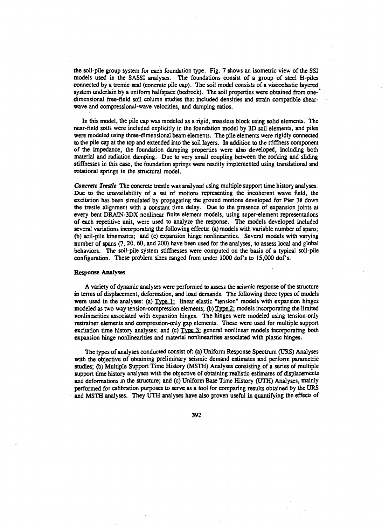the soil-pile group system for each foundation type. Fig. 7 shows an isometric view of the SSI models used in the SASSI analyses. The foundations consist of a group of steel H-piles connected by a tremie seal (concrete pile cap). The soil model consists of a viscoelastic layered system underlain by a uniform halfspace (bedrock). The soil properties were obtained from onedimensional free-field soil column studies that included densities and strain compatible shearwave and compressional-wave velocities, and damping ratios.

In this model, the pile cap was modeled as a rigid, massless block using solid elements. The near-field soils were included explicitly in the foundation model by 3D soil elements, and piles were modeled using three-dimensional beam elements. The pile elements were rigidly connected to the pile cap at the top and extended into the soil layers. In addition to the stiffness component of the impedance, the foundation damping properties were also developed, including both material and radiation damping. Due to very small coupling between the rocking and sliding stiffnesses in this case, the foundation springs were readily implemented using translational and rotational springs in the structural model.

*Concrete Tnstle* The concrete trestle was analyzed using multiple support time history analyses. Due to the unavailability of a set of motions representing the incoherent wave field, the excitation has been simulated by propagating the ground motions developed for Pier 38 down the trestle alignment with a constant time delay. Due to the presence of expansion joints at every bent DRAIN-3DX nonlinear finite element models, using super-element representations of each repetitive unit, were used to analyze the response. The models developed included several variations incorporating the following effects: (a) models with variable number of spans; (b) soil-pile kinematics; and (c) expansion hinge nonlinearities. Several models with varying number of spans (7, 20, 60, and 200) have been used for the analyses, to assess local and global behaviors. The soil-pile system stiffnesses were computed on the basis of a typical soil-pile configuration. These problem sizes ranged from under 1000 dof's to 15,000 dof's.

## Response Analyses

A variety of dynamic analyses were performed to assess the seismic response of the structure in terms of displacement, deformation, and load demands. The following three types of models were used in the analyses: (a) Type 1: linear elastic "tension" models with expansion hinges modeled as two-way tension-compression elements; (b)  $Type 2$ ; models incorporating the limited nonlinearities associated with expansion hinges. The hinges were modeled using tension-only restrainer elements and compression-only gap elements. These were used for multiple support excitation time history analyses; and (c) Type 3: general nonlinear models incorporating both expansion hinge nonlinearities and material nonlinearities associated with plastic hinges.

The types of analyses conducted consist of: (a) Uniform Response Spectrum (URS) Analyses with the objective of obtaining preliminary seismic demand estimates and perform parametric studies; (b) Multiple Support Time History (MSTH) Analyses consisting of a series of multiple support time history analyses with the objective of obtaining realistic estimates of displacements and deformations in the structure; and (c) Uniform Base Time History (UTH) Analyses, mainly performed for calibration purposes to serve as a tool for comparing results obtained by the URS and MSTH analyses. They UTH analyses have also proven useful in quantifying the effects of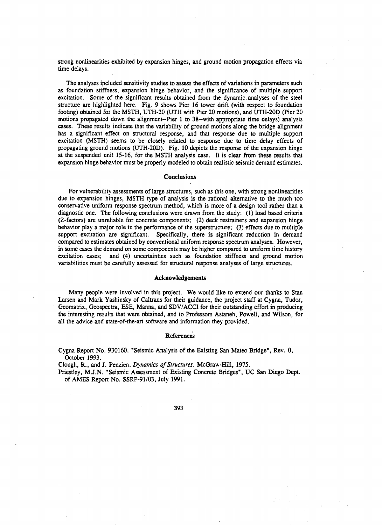strong nonlinearities exhibited by expansion hinges, and ground motion propagation effects via time delays.

The analyses included sensitivity studies to assess the effects of variations in parameters such as foundation stiffness, expansion hinge behavior, and the significance of multiple support excitation. Some of the significant results obtained from the dynamic analyses of the steel structure are highlighted here. Fig. 9 shows Pier 16 tower drift (with respect to foundation footing) obtained for the MSTH, UTH-20 (UTH with Pier 20 motions), and UTH-20Q (Pier 20 motions propagated down the alignment-Pier 1 to 38--with appropriate time delays) analysis cases. These results indicate that the variability of ground motions along the bridge alignment has a significant effect on structural response, and that response due to multiple support excitation (MSTH) seems to be closely related to response due to time delay effects of propagating ground motions (UTH-20D). Fig. 10 depicts the response of the expansion hinge at the suspended unit 15-16, for the MSTH analysis case. It is clear from these results that expansion hinge behavior must be properly modeled to obtain realistic seismic demand estimates.

#### **Conclusions**

For vulnerability assessments of large structures, such as this one, with strong nonlinearities due to expansion hinges, MSTH type of analysis is the rational alternative to the much too conservative uniform response spectrum method, which is more of a design tool rather than a diagnostic one. The following conclusions were drawn from the study: (1) load based criteria (Z-factors) are unreliable for concrete components; (2) deck restrainers and expansion hinge behavior play a major role in the performance of the superstructure; (3) effects due to multiple support excitation are significant. Specifically, there is significant reduction in demand compared to estimates obtained by conventional uniform response spectrum analyses. However, in some cases the demand on some components may be higher compared to uniform time history excitation cases; and (4) uncertainties such as foundation stiffness and ground motion variabilities must be carefully assessed for structural response analyses of large structures.

#### Acknowledgements

Many people were involved in this project. We would like to extend our thanks to Stan Larsen and Mark Yashinsky of Caltrans for their guidance, the project staff at Cygna, Tudor, Geomatrix, Geospectra, ESE, Manna, and SDV/ACCI for their outstanding effort in producing the interesting results that were obtained, and to Professors Astaneh, Powell, and Wilson, for all the advice and state-of-the-art software and information they provided.

#### References

,.

Cygna Report No. 930160. "Seismic Analysis of the Existing San Mateo Bridge", Rev. 0, October 1993.

Clough, R., and J. Penzien. *Dynamics of Structures.* McGraw-Hill, 1975.

Priestley, M.J.N. "Seismic Assessment of Existing Concrete Bridges•, UC San Diego Dept. of AMES Report No. SSRP-91/03, July 1991.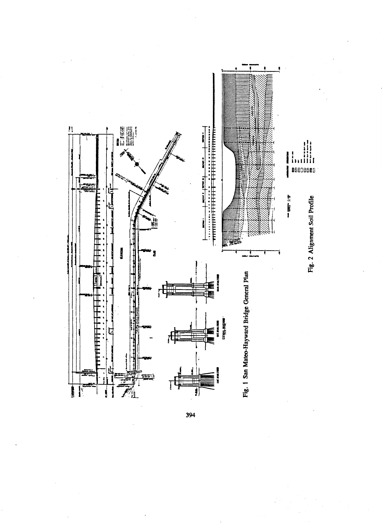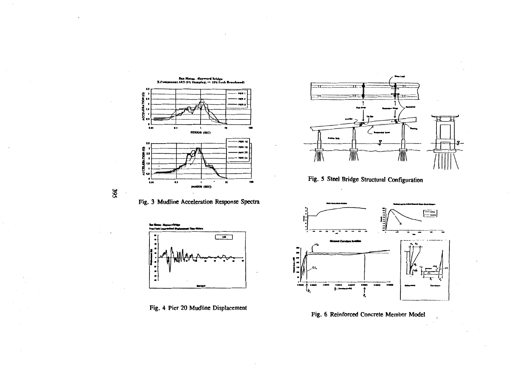

395



Fig. 5 Steel Bridge Structural Configuration



Fig. 4 Pier 20 Mudline Displacement